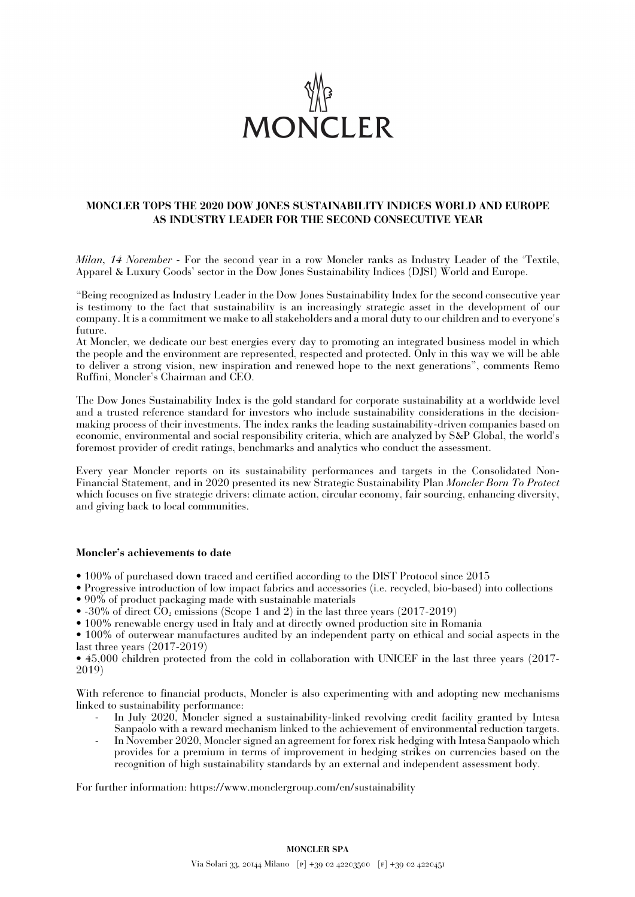

## **MONCLER TOPS THE 2020 DOW JONES SUSTAINABILITY INDICES WORLD AND EUROPE AS INDUSTRY LEADER FOR THE SECOND CONSECUTIVE YEAR**

*Milan, 14 November* - For the second year in a row Moncler ranks as Industry Leader of the 'Textile, Apparel & Luxury Goods' sector in the Dow Jones Sustainability Indices (DJSI) World and Europe.

"Being recognized as Industry Leader in the Dow Jones Sustainability Index for the second consecutive year is testimony to the fact that sustainability is an increasingly strategic asset in the development of our company. It is a commitment we make to all stakeholders and a moral duty to our children and to everyone's future.

At Moncler, we dedicate our best energies every day to promoting an integrated business model in which the people and the environment are represented, respected and protected. Only in this way we will be able to deliver a strong vision, new inspiration and renewed hope to the next generations", comments Remo Ruffini, Moncler's Chairman and CEO.

The Dow Jones Sustainability Index is the gold standard for corporate sustainability at a worldwide level and a trusted reference standard for investors who include sustainability considerations in the decisionmaking process of their investments. The index ranks the leading sustainability-driven companies based on economic, environmental and social responsibility criteria, which are analyzed by S&P Global, the world's foremost provider of credit ratings, benchmarks and analytics who conduct the assessment.

Every year Moncler reports on its sustainability performances and targets in the Consolidated Non-Financial Statement, and in 2020 presented its new Strategic Sustainability Plan *Moncler Born To Protect* which focuses on five strategic drivers: climate action, circular economy, fair sourcing, enhancing diversity, and giving back to local communities.

## **Moncler's achievements to date**

- 100% of purchased down traced and certified according to the DIST Protocol since 2015
- Progressive introduction of low impact fabrics and accessories (i.e. recycled, bio-based) into collections
- 90% of product packaging made with sustainable materials
- -30% of direct  $\text{CO}_2$  emissions (Scope 1 and 2) in the last three years (2017-2019)
- 100% renewable energy used in Italy and at directly owned production site in Romania

• 100% of outerwear manufactures audited by an independent party on ethical and social aspects in the last three years (2017-2019)

• 45,000 children protected from the cold in collaboration with UNICEF in the last three years (2017- 2019)

With reference to financial products, Moncler is also experimenting with and adopting new mechanisms linked to sustainability performance:

- In July 2020, Moncler signed a sustainability-linked revolving credit facility granted by Intesa Sanpaolo with a reward mechanism linked to the achievement of environmental reduction targets.
- In November 2020, Moncler signed an agreement for forex risk hedging with Intesa Sanpaolo which provides for a premium in terms of improvement in hedging strikes on currencies based on the recognition of high sustainability standards by an external and independent assessment body.

For further information: https://www.monclergroup.com/en/sustainability